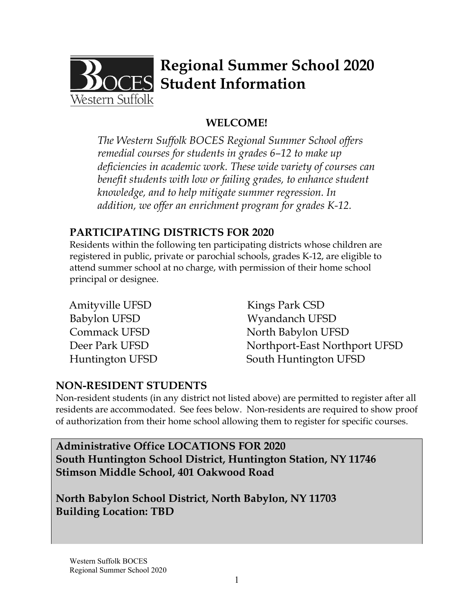

# **Regional Summer School 2020 ES** Student Information

# **WELCOME!**

*The Western Suffolk BOCES Regional Summer School offers remedial courses for students in grades 6–12 to make up deficiencies in academic work. These wide variety of courses can benefit students with low or failing grades, to enhance student knowledge, and to help mitigate summer regression. In addition, we offer an enrichment program for grades K-12.* 

### **PARTICIPATING DISTRICTS FOR 2020**

Residents within the following ten participating districts whose children are registered in public, private or parochial schools, grades K-12, are eligible to attend summer school at no charge, with permission of their home school principal or designee.

| Amityville UFSD     |  |
|---------------------|--|
| <b>Babylon UFSD</b> |  |
| Commack UFSD        |  |
| Deer Park UFSD      |  |
| Huntington UFSD     |  |

Kings Park CSD Wyandanch UFSD North Babylon UFSD Northport-East Northport UFSD South Huntington UFSD

## **NON-RESIDENT STUDENTS**

Non-resident students (in any district not listed above) are permitted to register after all residents are accommodated. See fees below. Non-residents are required to show proof of authorization from their home school allowing them to register for specific courses.

**Administrative Office LOCATIONS FOR 2020 South Huntington School District, Huntington Station, NY 11746 Stimson Middle School, 401 Oakwood Road** 

**North Babylon School District, North Babylon, NY 11703 Building Location: TBD** 

Western Suffolk BOCES Regional Summer School 2020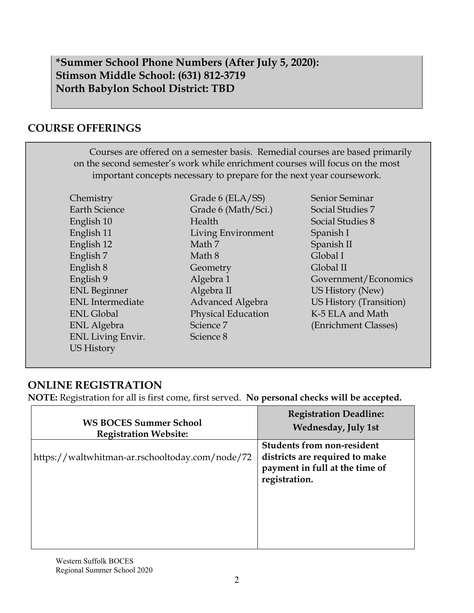### **\*Summer School Phone Numbers (After July 5, 2020): Stimson Middle School: (631) 812-3719 North Babylon School District: TBD**

## **COURSE OFFERINGS**

| Courses are offered on a semester basis. Remedial courses are based primarily |
|-------------------------------------------------------------------------------|
| on the second semester's work while enrichment courses will focus on the most |
| important concepts necessary to prepare for the next year coursework.         |

**Chemistry** Earth Science English 10 English 11 English 12 English 7 English 8 English 9 ENL Beginner ENL Intermediate ENL Global ENL Algebra ENL Living Envir. US History

Grade 6 (ELA/SS) Grade 6 (Math/Sci.) Health Living Environment Math 7 Math 8 **Geometry** Algebra 1 Algebra II Advanced Algebra Physical Education Science 7 Science 8

Senior Seminar Social Studies 7 Social Studies 8 Spanish I Spanish II Global I Global II Government/Economics US History (New) US History (Transition) K-5 ELA and Math (Enrichment Classes)

## **ONLINE REGISTRATION**

**NOTE:** Registration for all is first come, first served. **No personal checks will be accepted.** 

| <b>WS BOCES Summer School</b>                   | <b>Registration Deadline:</b>                                                                                          |
|-------------------------------------------------|------------------------------------------------------------------------------------------------------------------------|
| <b>Registration Website:</b>                    | <b>Wednesday, July 1st</b>                                                                                             |
| https://waltwhitman-ar.rschooltoday.com/node/72 | <b>Students from non-resident</b><br>districts are required to make<br>payment in full at the time of<br>registration. |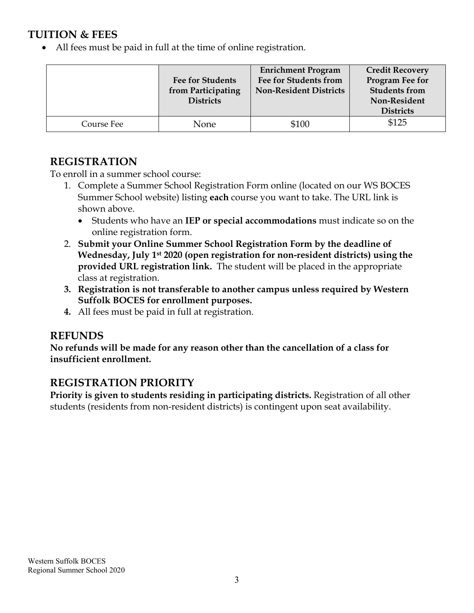### **TUITION & FEES**

All fees must be paid in full at the time of online registration.

|            | <b>Fee for Students</b><br>from Participating<br><b>Districts</b> | <b>Enrichment Program</b><br><b>Fee for Students from</b><br><b>Non-Resident Districts</b> | <b>Credit Recovery</b><br>Program Fee for<br><b>Students from</b><br>Non-Resident<br><b>Districts</b> |
|------------|-------------------------------------------------------------------|--------------------------------------------------------------------------------------------|-------------------------------------------------------------------------------------------------------|
| Course Fee | None                                                              | \$100                                                                                      | \$125                                                                                                 |

### **REGISTRATION**

To enroll in a summer school course:

- 1. Complete a Summer School Registration Form online (located on our WS BOCES Summer School website) listing **each** course you want to take. The URL link is shown above.
	- Students who have an **IEP or special accommodations** must indicate so on the online registration form.
- 2. **Submit your Online Summer School Registration Form by the deadline of Wednesday, July 1st 2020 (open registration for non-resident districts) using the provided URL registration link.** The student will be placed in the appropriate class at registration.
- **3. Registration is not transferable to another campus unless required by Western Suffolk BOCES for enrollment purposes.**
- **4.** All fees must be paid in full at registration.

#### **REFUNDS**

**No refunds will be made for any reason other than the cancellation of a class for insufficient enrollment.** 

## **REGISTRATION PRIORITY**

**Priority is given to students residing in participating districts.** Registration of all other students (residents from non-resident districts) is contingent upon seat availability.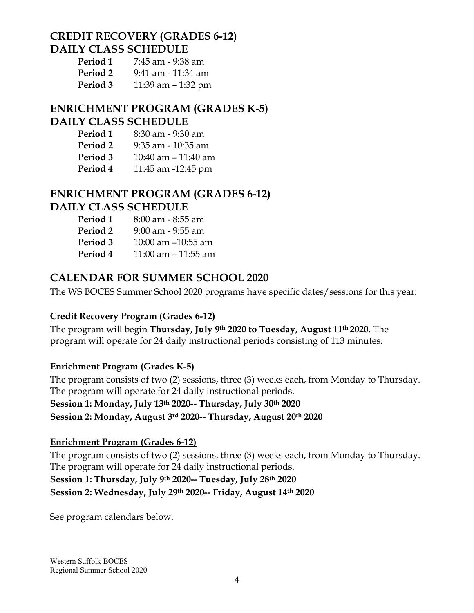#### **CREDIT RECOVERY (GRADES 6-12) DAILY CLASS SCHEDULE**

| Period 1 | 7:45 am - 9:38 am    |
|----------|----------------------|
| Period 2 | 9:41 am - 11:34 am   |
| Period 3 | 11:39 am $-$ 1:32 pm |

### **ENRICHMENT PROGRAM (GRADES K-5) DAILY CLASS SCHEDULE**

- **Period 1** 8:30 am 9:30 am
- **Period 2** 9:35 am 10:35 am
- **Period 3** 10:40 am 11:40 am
- **Period 4** 11:45 am -12:45 pm

### **ENRICHMENT PROGRAM (GRADES 6-12) DAILY CLASS SCHEDULE**

- **Period 1** 8:00 am 8:55 am
- **Period 2** 9:00 am 9:55 am
- **Period 3** 10:00 am –10:55 am
- **Period 4** 11:00 am 11:55 am

## **CALENDAR FOR SUMMER SCHOOL 2020**

The WS BOCES Summer School 2020 programs have specific dates/sessions for this year:

#### **Credit Recovery Program (Grades 6-12)**

The program will begin **Thursday, July 9th 2020 to Tuesday, August 11th 2020.** The program will operate for 24 daily instructional periods consisting of 113 minutes.

#### **Enrichment Program (Grades K-5)**

The program consists of two (2) sessions, three (3) weeks each, from Monday to Thursday. The program will operate for 24 daily instructional periods. **Session 1: Monday, July 13th 2020-- Thursday, July 30th 2020 Session 2: Monday, August 3rd 2020-- Thursday, August 20th 2020** 

#### **Enrichment Program (Grades 6-12)**

The program consists of two (2) sessions, three (3) weeks each, from Monday to Thursday. The program will operate for 24 daily instructional periods. **Session 1: Thursday, July 9th 2020-- Tuesday, July 28th 2020 Session 2: Wednesday, July 29th 2020-- Friday, August 14th 2020** 

See program calendars below.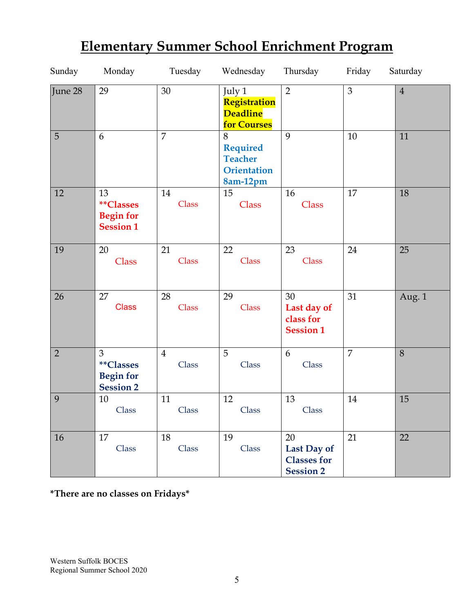| Sunday         | Monday                                                  | Tuesday                 | Wednesday                                                                | Thursday                                                    | Friday | Saturday       |
|----------------|---------------------------------------------------------|-------------------------|--------------------------------------------------------------------------|-------------------------------------------------------------|--------|----------------|
| June 28        | 29                                                      | 30                      | July 1<br>Registration<br><b>Deadline</b><br><b>for Courses</b>          | $\overline{2}$                                              | 3      | $\overline{4}$ |
| 5              | 6                                                       | $\overline{7}$          | 8<br><b>Required</b><br><b>Teacher</b><br><b>Orientation</b><br>8am-12pm | 9                                                           | 10     | 11             |
| 12             | 13<br>**Classes<br><b>Begin for</b><br><b>Session 1</b> | 14<br>Class             | 15<br>Class                                                              | 16<br>Class                                                 | 17     | 18             |
| 19             | 20<br>Class                                             | 21<br>Class             | 22<br>Class                                                              | 23<br>Class                                                 | 24     | 25             |
| 26             | 27<br><b>Class</b>                                      | 28<br>Class             | 29<br>Class                                                              | 30<br>Last day of<br>class for<br><b>Session 1</b>          | 31     | Aug. 1         |
| $\overline{2}$ | 3<br>**Classes<br><b>Begin for</b><br><b>Session 2</b>  | $\overline{4}$<br>Class | 5<br>Class                                                               | 6<br>Class                                                  | 7      | 8              |
| 9              | 10<br>Class                                             | 11<br>Class             | 12<br>Class                                                              | 13<br>Class                                                 | 14     | 15             |
| 16             | 17<br>Class                                             | 18<br>Class             | 19<br>Class                                                              | 20<br>Last Day of<br><b>Classes for</b><br><b>Session 2</b> | 21     | 22             |

# **Elementary Summer School Enrichment Program**

**\*There are no classes on Fridays\***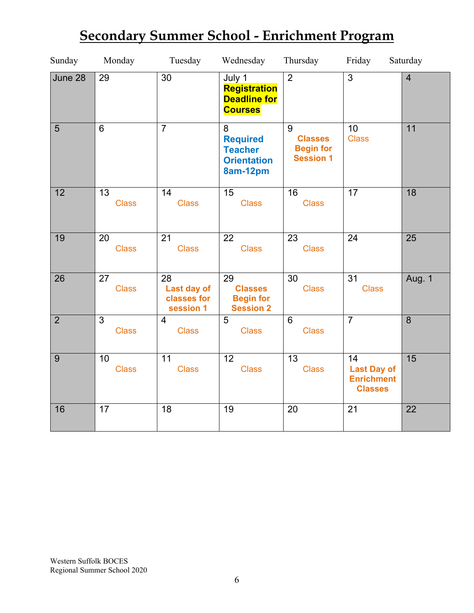| Sunday         | Monday             | Tuesday                                       | Wednesday                                                                | Thursday                                                    | Friday                                                          | Saturday       |
|----------------|--------------------|-----------------------------------------------|--------------------------------------------------------------------------|-------------------------------------------------------------|-----------------------------------------------------------------|----------------|
| June 28        | 29                 | $\overline{30}$                               | July 1<br>Registration<br><b>Deadline for</b><br><b>Courses</b>          | $\overline{2}$                                              | $\overline{3}$                                                  | $\overline{4}$ |
| 5              | 6                  | $\overline{7}$                                | 8<br><b>Required</b><br><b>Teacher</b><br><b>Orientation</b><br>8am-12pm | 9<br><b>Classes</b><br><b>Begin for</b><br><b>Session 1</b> | 10<br><b>Class</b>                                              | 11             |
| 12             | 13<br><b>Class</b> | 14<br><b>Class</b>                            | 15<br><b>Class</b>                                                       | 16<br><b>Class</b>                                          | 17                                                              | 18             |
| 19             | 20<br><b>Class</b> | 21<br><b>Class</b>                            | 22<br><b>Class</b>                                                       | 23<br><b>Class</b>                                          | 24                                                              | 25             |
| 26             | 27<br><b>Class</b> | 28<br>Last day of<br>classes for<br>session 1 | 29<br><b>Classes</b><br><b>Begin for</b><br><b>Session 2</b>             | 30<br><b>Class</b>                                          | 31<br><b>Class</b>                                              | Aug. 1         |
| $\overline{2}$ | 3<br><b>Class</b>  | $\overline{4}$<br><b>Class</b>                | $\overline{5}$<br><b>Class</b>                                           | 6<br><b>Class</b>                                           | $\overline{7}$                                                  | 8              |
| 9              | 10<br><b>Class</b> | 11<br><b>Class</b>                            | 12<br><b>Class</b>                                                       | 13<br><b>Class</b>                                          | 14<br><b>Last Day of</b><br><b>Enrichment</b><br><b>Classes</b> | 15             |
| 16             | 17                 | 18                                            | 19                                                                       | 20                                                          | 21                                                              | 22             |

# **Secondary Summer School - Enrichment Program**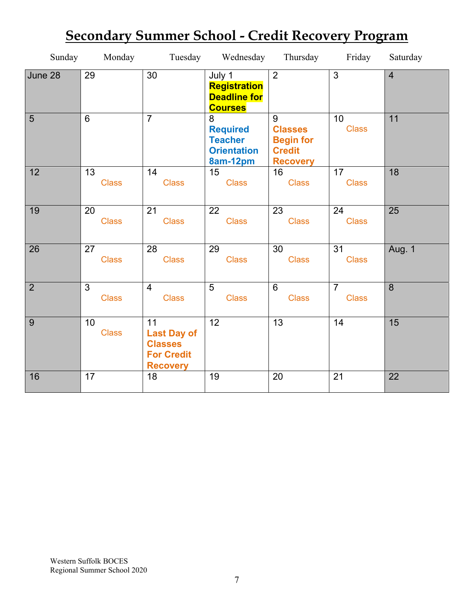| Sunday         | Monday                         |                                                                                    | Tuesday Wednesday                                                        | Thursday                                                                    | Friday                         | Saturday       |
|----------------|--------------------------------|------------------------------------------------------------------------------------|--------------------------------------------------------------------------|-----------------------------------------------------------------------------|--------------------------------|----------------|
| June 28        | 29                             | 30                                                                                 | July 1<br><b>Registration</b><br><b>Deadline for</b><br><b>Courses</b>   | $\overline{2}$                                                              | $\overline{3}$                 | $\overline{4}$ |
| $\overline{5}$ | $\overline{6}$                 | $\overline{7}$                                                                     | 8<br><b>Required</b><br><b>Teacher</b><br><b>Orientation</b><br>8am-12pm | 9<br><b>Classes</b><br><b>Begin for</b><br><b>Credit</b><br><b>Recovery</b> | 10<br><b>Class</b>             | 11             |
| 12             | 13<br><b>Class</b>             | 14<br><b>Class</b>                                                                 | 15<br><b>Class</b>                                                       | 16<br><b>Class</b>                                                          | 17<br><b>Class</b>             | 18             |
| 19             | 20<br><b>Class</b>             | 21<br><b>Class</b>                                                                 | 22<br><b>Class</b>                                                       | 23<br><b>Class</b>                                                          | 24<br><b>Class</b>             | 25             |
| 26             | 27<br><b>Class</b>             | 28<br><b>Class</b>                                                                 | 29<br><b>Class</b>                                                       | 30<br><b>Class</b>                                                          | 31<br><b>Class</b>             | <b>Aug. 1</b>  |
| $\overline{2}$ | $\overline{3}$<br><b>Class</b> | $\overline{4}$<br><b>Class</b>                                                     | $\overline{5}$<br><b>Class</b>                                           | $6\phantom{1}$<br><b>Class</b>                                              | $\overline{7}$<br><b>Class</b> | 8              |
| 9              | 10<br><b>Class</b>             | 11<br><b>Last Day of</b><br><b>Classes</b><br><b>For Credit</b><br><b>Recovery</b> | 12                                                                       | 13                                                                          | 14                             | 15             |
| 16             | 17                             | 18                                                                                 | 19                                                                       | 20                                                                          | 21                             | 22             |

# **Secondary Summer School - Credit Recovery Program**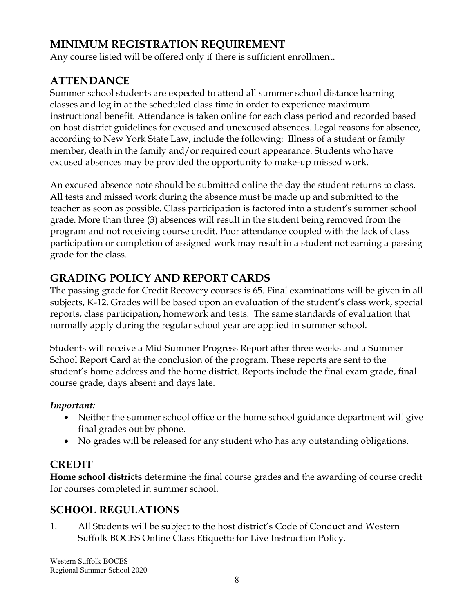# **MINIMUM REGISTRATION REQUIREMENT**

Any course listed will be offered only if there is sufficient enrollment.

# **ATTENDANCE**

Summer school students are expected to attend all summer school distance learning classes and log in at the scheduled class time in order to experience maximum instructional benefit. Attendance is taken online for each class period and recorded based on host district guidelines for excused and unexcused absences. Legal reasons for absence, according to New York State Law, include the following: Illness of a student or family member, death in the family and/or required court appearance. Students who have excused absences may be provided the opportunity to make-up missed work.

An excused absence note should be submitted online the day the student returns to class. All tests and missed work during the absence must be made up and submitted to the teacher as soon as possible. Class participation is factored into a student's summer school grade. More than three (3) absences will result in the student being removed from the program and not receiving course credit. Poor attendance coupled with the lack of class participation or completion of assigned work may result in a student not earning a passing grade for the class.

## **GRADING POLICY AND REPORT CARDS**

The passing grade for Credit Recovery courses is 65. Final examinations will be given in all subjects, K-12. Grades will be based upon an evaluation of the student's class work, special reports, class participation, homework and tests. The same standards of evaluation that normally apply during the regular school year are applied in summer school.

Students will receive a Mid-Summer Progress Report after three weeks and a Summer School Report Card at the conclusion of the program. These reports are sent to the student's home address and the home district. Reports include the final exam grade, final course grade, days absent and days late.

#### *Important:*

- Neither the summer school office or the home school guidance department will give final grades out by phone.
- No grades will be released for any student who has any outstanding obligations.

## **CREDIT**

**Home school districts** determine the final course grades and the awarding of course credit for courses completed in summer school.

## **SCHOOL REGULATIONS**

1. All Students will be subject to the host district's Code of Conduct and Western Suffolk BOCES Online Class Etiquette for Live Instruction Policy.

Western Suffolk BOCES Regional Summer School 2020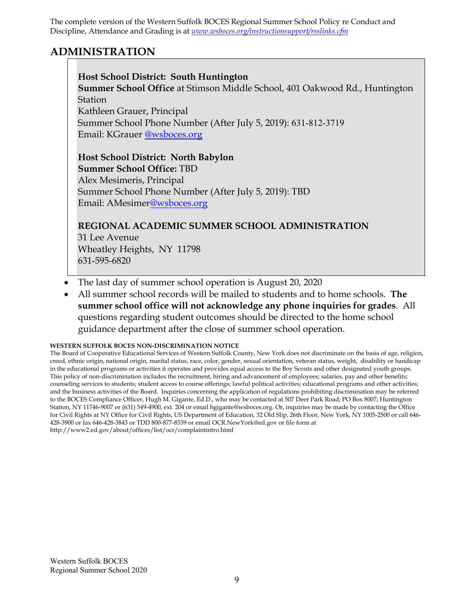The complete version of the Western Suffolk BOCES Regional Summer School Policy re Conduct and Discipline, Attendance and Grading is at *www.wsboces.org/instructionsupport/rsslinks.cfm* 

#### **ADMINISTRATION**

#### **Host School District: South Huntington**

**Summer School Office** at Stimson Middle School, 401 Oakwood Rd., Huntington **Station** Kathleen Grauer, Principal

Summer School Phone Number (After July 5, 2019): 631-812-3719 Email: KGrauer @wsboces.org

#### **Host School District: North Babylon**

**Summer School Office:** TBD

Alex Mesimeris, Principal Summer School Phone Number (After July 5, 2019): TBD Email: AMesimer@wsboces.org

#### **REGIONAL ACADEMIC SUMMER SCHOOL ADMINISTRATION**

31 Lee Avenue Wheatley Heights, NY 11798 631-595-6820

- The last day of summer school operation is August 20, 2020
- All summer school records will be mailed to students and to home schools. **The summer school office will not acknowledge any phone inquiries for grades**. All questions regarding student outcomes should be directed to the home school guidance department after the close of summer school operation.

#### **WESTERN SUFFOLK BOCES NON-DISCRIMINATION NOTICE**

The Board of Cooperative Educational Services of Western Suffolk County, New York does not discriminate on the basis of age, religion, creed, ethnic origin, national origin, marital status, race, color, gender, sexual orientation, veteran status, weight, disability or handicap in the educational programs or activities it operates and provides equal access to the Boy Scouts and other designated youth groups. This policy of non-discrimination includes the recruitment, hiring and advancement of employees; salaries, pay and other benefits; counseling services to students; student access to course offerings; lawful political activities; educational programs and other activities; and the business activities of the Board. Inquiries concerning the application of regulations prohibiting discrimination may be referred to the BOCES Compliance Officer, Hugh M. Gigante, Ed.D., who may be contacted at 507 Deer Park Road; PO Box 8007; Huntington Station, NY 11746-9007 or (631) 549-4900, ext. 204 or email hgigante@wsboces.org. Or, inquiries may be made by contacting the Office for Civil Rights at NY Office for Civil Rights, US Department of Education, 32 Old Slip, 26th Floor, New York, NY 1005-2500 or call 646- 428-3900 or fax 646-428-3843 or TDD 800-877-8339 or email OCR.NewYork@ed.gov or file form at http://www2.ed.gov/about/offices/list/ocr/complaintintro.html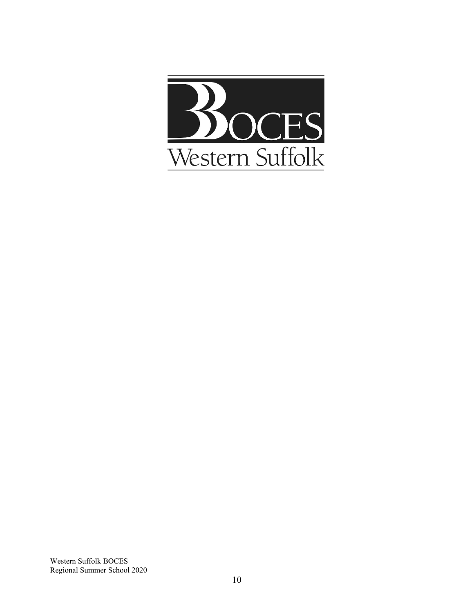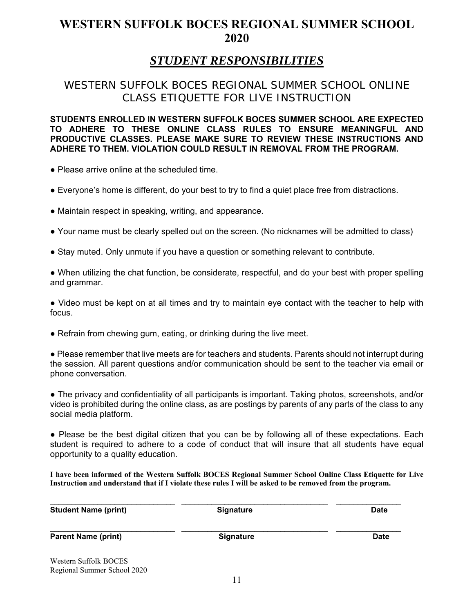# **WESTERN SUFFOLK BOCES REGIONAL SUMMER SCHOOL 2020**

# *STUDENT RESPONSIBILITIES*

#### WESTERN SUFFOLK BOCES REGIONAL SUMMER SCHOOL ONLINE CLASS ETIQUETTE FOR LIVE INSTRUCTION

**STUDENTS ENROLLED IN WESTERN SUFFOLK BOCES SUMMER SCHOOL ARE EXPECTED TO ADHERE TO THESE ONLINE CLASS RULES TO ENSURE MEANINGFUL AND PRODUCTIVE CLASSES. PLEASE MAKE SURE TO REVIEW THESE INSTRUCTIONS AND ADHERE TO THEM. VIOLATION COULD RESULT IN REMOVAL FROM THE PROGRAM.** 

• Please arrive online at the scheduled time.

- Everyone's home is different, do your best to try to find a quiet place free from distractions.
- Maintain respect in speaking, writing, and appearance.
- Your name must be clearly spelled out on the screen. (No nicknames will be admitted to class)
- Stay muted. Only unmute if you have a question or something relevant to contribute.

• When utilizing the chat function, be considerate, respectful, and do your best with proper spelling and grammar.

● Video must be kept on at all times and try to maintain eye contact with the teacher to help with focus.

• Refrain from chewing gum, eating, or drinking during the live meet.

● Please remember that live meets are for teachers and students. Parents should not interrupt during the session. All parent questions and/or communication should be sent to the teacher via email or phone conversation.

● The privacy and confidentiality of all participants is important. Taking photos, screenshots, and/or video is prohibited during the online class, as are postings by parents of any parts of the class to any social media platform.

● Please be the best digital citizen that you can be by following all of these expectations. Each student is required to adhere to a code of conduct that will insure that all students have equal opportunity to a quality education.

**I have been informed of the Western Suffolk BOCES Regional Summer School Online Class Etiquette for Live Instruction and understand that if I violate these rules I will be asked to be removed from the program.** 

| <b>Student Name (print)</b>                          | <b>Signature</b> | <b>Date</b> |
|------------------------------------------------------|------------------|-------------|
| <b>Parent Name (print)</b>                           | <b>Signature</b> | <b>Date</b> |
| Western Suffolk BOCES<br>Regional Summer School 2020 |                  |             |